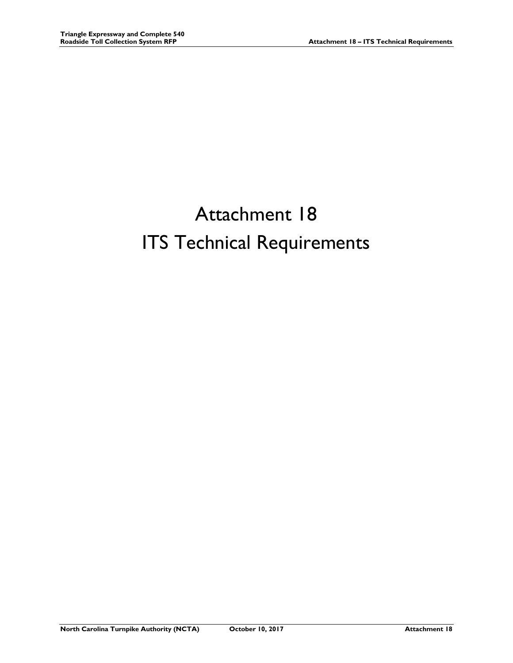# Attachment 18 ITS Technical Requirements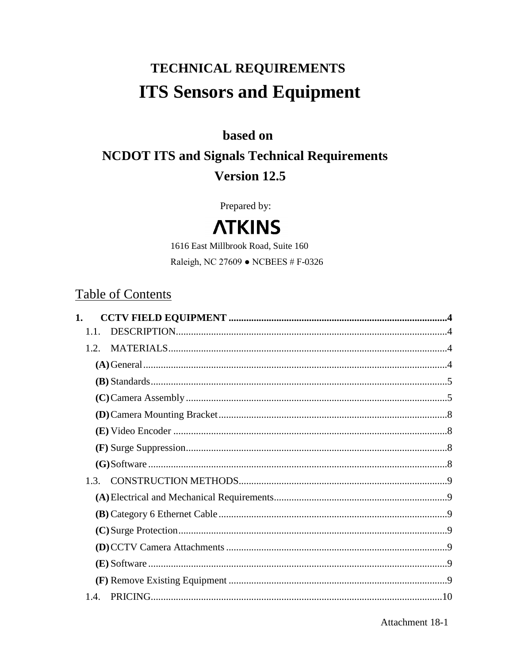## TECHNICAL REQUIREMENTS **ITS Sensors and Equipment**

## based on

## **NCDOT ITS and Signals Technical Requirements** Version 12.5

Prepared by:

## **ATKINS**

1616 East Millbrook Road, Suite 160 Raleigh, NC 27609 • NCBEES # F-0326

## **Table of Contents**

| 1.1. |  |
|------|--|
| 1.2  |  |
|      |  |
|      |  |
|      |  |
|      |  |
|      |  |
|      |  |
|      |  |
|      |  |
|      |  |
|      |  |
|      |  |
|      |  |
|      |  |
|      |  |
| 1.4  |  |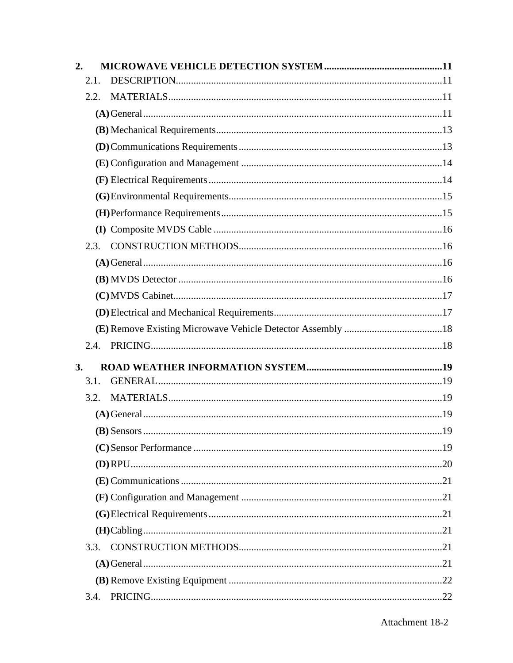| 2.   |  |
|------|--|
| 2.1. |  |
| 2.2. |  |
|      |  |
|      |  |
|      |  |
|      |  |
|      |  |
|      |  |
|      |  |
|      |  |
| 2.3. |  |
|      |  |
|      |  |
|      |  |
|      |  |
|      |  |
| 2.4. |  |
| 3.   |  |
| 3.1. |  |
| 3.2. |  |
|      |  |
|      |  |
|      |  |
|      |  |
|      |  |
|      |  |
|      |  |
|      |  |
| 3.3. |  |
|      |  |
|      |  |
| 3.4. |  |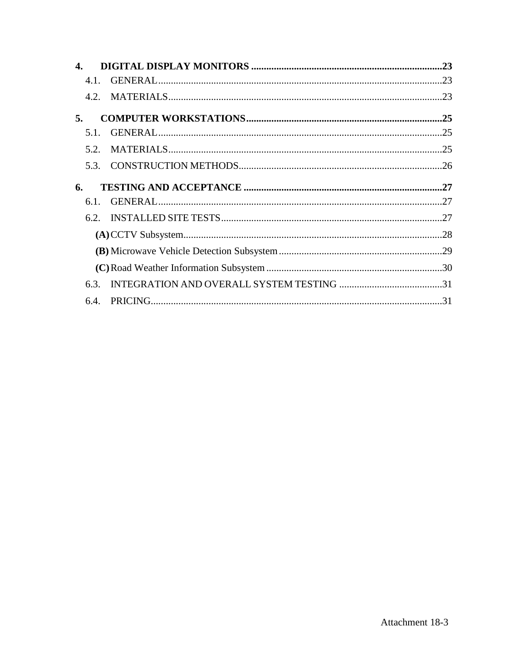| 4. |      |  |
|----|------|--|
|    | 4.1. |  |
|    |      |  |
| 5. |      |  |
|    | 5.1. |  |
|    | 5.2. |  |
|    |      |  |
| 6. |      |  |
|    | 6.1. |  |
|    |      |  |
|    |      |  |
|    |      |  |
|    |      |  |
|    |      |  |
|    |      |  |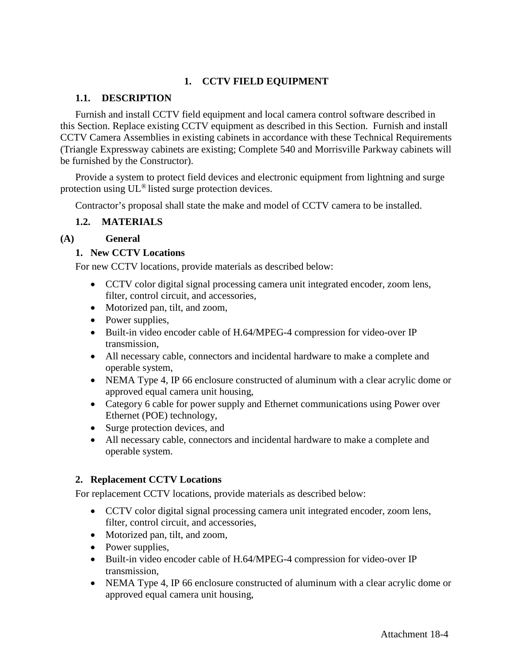## **1. CCTV FIELD EQUIPMENT**

## **1.1. DESCRIPTION**

Furnish and install CCTV field equipment and local camera control software described in this Section. Replace existing CCTV equipment as described in this Section. Furnish and install CCTV Camera Assemblies in existing cabinets in accordance with these Technical Requirements (Triangle Expressway cabinets are existing; Complete 540 and Morrisville Parkway cabinets will be furnished by the Constructor).

Provide a system to protect field devices and electronic equipment from lightning and surge protection using UL® listed surge protection devices.

Contractor's proposal shall state the make and model of CCTV camera to be installed.

## **1.2. MATERIALS**

## **(A) General**

## **1. New CCTV Locations**

For new CCTV locations, provide materials as described below:

- CCTV color digital signal processing camera unit integrated encoder, zoom lens, filter, control circuit, and accessories,
- Motorized pan, tilt, and zoom,
- Power supplies,
- Built-in video encoder cable of H.64/MPEG-4 compression for video-over IP transmission,
- All necessary cable, connectors and incidental hardware to make a complete and operable system,
- NEMA Type 4, IP 66 enclosure constructed of aluminum with a clear acrylic dome or approved equal camera unit housing,
- Category 6 cable for power supply and Ethernet communications using Power over Ethernet (POE) technology,
- Surge protection devices, and
- All necessary cable, connectors and incidental hardware to make a complete and operable system.

## **2. Replacement CCTV Locations**

For replacement CCTV locations, provide materials as described below:

- CCTV color digital signal processing camera unit integrated encoder, zoom lens, filter, control circuit, and accessories,
- Motorized pan, tilt, and zoom,
- Power supplies,
- Built-in video encoder cable of H.64/MPEG-4 compression for video-over IP transmission,
- NEMA Type 4, IP 66 enclosure constructed of aluminum with a clear acrylic dome or approved equal camera unit housing,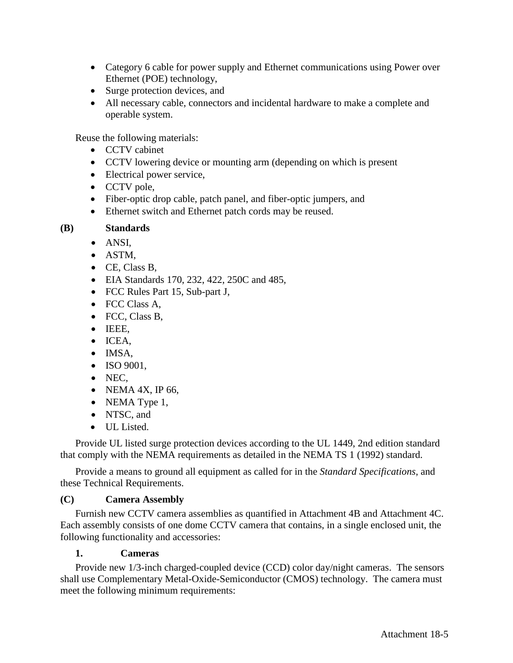- Category 6 cable for power supply and Ethernet communications using Power over Ethernet (POE) technology,
- Surge protection devices, and
- All necessary cable, connectors and incidental hardware to make a complete and operable system.

Reuse the following materials:

- CCTV cabinet
- CCTV lowering device or mounting arm (depending on which is present
- Electrical power service,
- CCTV pole,
- Fiber-optic drop cable, patch panel, and fiber-optic jumpers, and
- Ethernet switch and Ethernet patch cords may be reused.

## **(B) Standards**

- ANSI,
- ASTM,
- CE, Class B,
- EIA Standards 170, 232, 422, 250C and 485,
- FCC Rules Part 15, Sub-part J,
- FCC Class A,
- FCC, Class B,
- IEEE,
- ICEA,
- IMSA,
- ISO 9001.
- NEC,
- NEMA 4X, IP 66,
- NEMA Type 1,
- NTSC, and
- UL Listed.

Provide UL listed surge protection devices according to the UL 1449, 2nd edition standard that comply with the NEMA requirements as detailed in the NEMA TS 1 (1992) standard.

Provide a means to ground all equipment as called for in the *Standard Specifications*, and these Technical Requirements.

## **(C) Camera Assembly**

Furnish new CCTV camera assemblies as quantified in Attachment 4B and Attachment 4C. Each assembly consists of one dome CCTV camera that contains, in a single enclosed unit, the following functionality and accessories:

## **1. Cameras**

Provide new 1/3-inch charged-coupled device (CCD) color day/night cameras. The sensors shall use Complementary Metal-Oxide-Semiconductor (CMOS) technology. The camera must meet the following minimum requirements: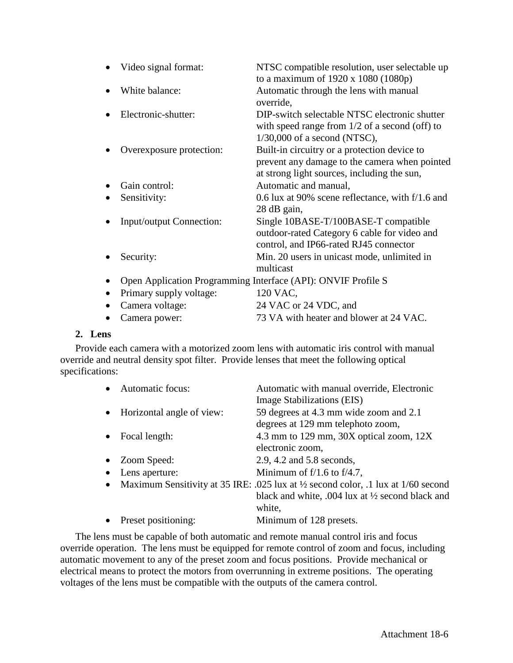| Video signal format:     | NTSC compatible resolution, user selectable up<br>to a maximum of $1920 \times 1080 (1080p)$                                                 |
|--------------------------|----------------------------------------------------------------------------------------------------------------------------------------------|
| White balance:           | Automatic through the lens with manual<br>override,                                                                                          |
| Electronic-shutter:      | DIP-switch selectable NTSC electronic shutter<br>with speed range from $1/2$ of a second (off) to<br>$1/30,000$ of a second (NTSC),          |
| Overexposure protection: | Built-in circuitry or a protection device to<br>prevent any damage to the camera when pointed<br>at strong light sources, including the sun, |
| Gain control:            | Automatic and manual,                                                                                                                        |
| Sensitivity:             | 0.6 lux at 90% scene reflectance, with f/1.6 and<br>28 dB gain,                                                                              |
| Input/output Connection: | Single 10BASE-T/100BASE-T compatible<br>outdoor-rated Category 6 cable for video and<br>control, and IP66-rated RJ45 connector               |
| Security:                | Min. 20 users in unicast mode, unlimited in<br>multicast                                                                                     |
|                          | Open Application Programming Interface (API): ONVIF Profile S                                                                                |
| Primary supply voltage:  | 120 VAC,                                                                                                                                     |
| Camera voltage:          | 24 VAC or 24 VDC, and                                                                                                                        |
| Camera power:            | 73 VA with heater and blower at 24 VAC.                                                                                                      |

## **2. Lens**

Provide each camera with a motorized zoom lens with automatic iris control with manual override and neutral density spot filter. Provide lenses that meet the following optical specifications:

| $\bullet$ | Automatic focus:            | Automatic with manual override, Electronic                                                     |
|-----------|-----------------------------|------------------------------------------------------------------------------------------------|
|           |                             | Image Stabilizations (EIS)                                                                     |
|           | • Horizontal angle of view: | 59 degrees at 4.3 mm wide zoom and 2.1                                                         |
|           |                             | degrees at 129 mm telephoto zoom,                                                              |
| $\bullet$ | Focal length:               | 4.3 mm to 129 mm, 30X optical zoom, 12X                                                        |
|           |                             | electronic zoom,                                                                               |
|           | • Zoom Speed:               | 2.9, 4.2 and 5.8 seconds,                                                                      |
| $\bullet$ | Lens aperture:              | Minimum of $f/1.6$ to $f/4.7$ ,                                                                |
|           |                             | • Maximum Sensitivity at 35 IRE: .025 lux at $\frac{1}{2}$ second color, .1 lux at 1/60 second |
|           |                             | black and white, $.004$ lux at $\frac{1}{2}$ second black and                                  |
|           |                             | white,                                                                                         |
|           | Preset positioning:         | Minimum of 128 presets.                                                                        |

The lens must be capable of both automatic and remote manual control iris and focus override operation. The lens must be equipped for remote control of zoom and focus, including automatic movement to any of the preset zoom and focus positions. Provide mechanical or electrical means to protect the motors from overrunning in extreme positions. The operating voltages of the lens must be compatible with the outputs of the camera control.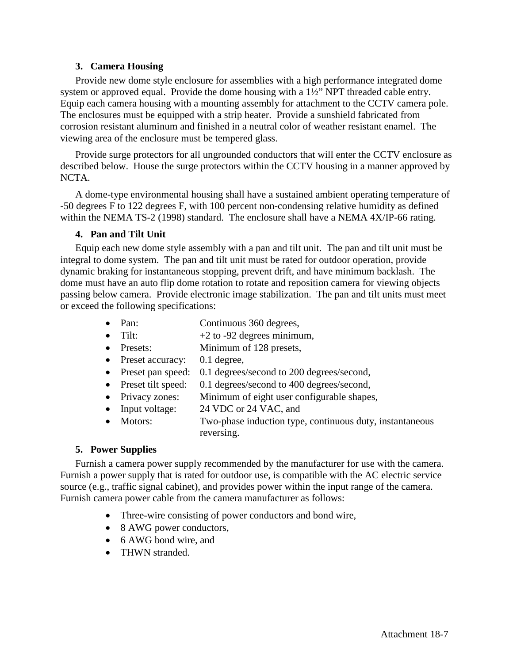## **3. Camera Housing**

Provide new dome style enclosure for assemblies with a high performance integrated dome system or approved equal. Provide the dome housing with a 1½" NPT threaded cable entry. Equip each camera housing with a mounting assembly for attachment to the CCTV camera pole. The enclosures must be equipped with a strip heater. Provide a sunshield fabricated from corrosion resistant aluminum and finished in a neutral color of weather resistant enamel. The viewing area of the enclosure must be tempered glass.

Provide surge protectors for all ungrounded conductors that will enter the CCTV enclosure as described below. House the surge protectors within the CCTV housing in a manner approved by NCTA.

A dome-type environmental housing shall have a sustained ambient operating temperature of -50 degrees F to 122 degrees F, with 100 percent non-condensing relative humidity as defined within the NEMA TS-2 (1998) standard. The enclosure shall have a NEMA 4X/IP-66 rating.

#### **4. Pan and Tilt Unit**

Equip each new dome style assembly with a pan and tilt unit. The pan and tilt unit must be integral to dome system. The pan and tilt unit must be rated for outdoor operation, provide dynamic braking for instantaneous stopping, prevent drift, and have minimum backlash. The dome must have an auto flip dome rotation to rotate and reposition camera for viewing objects passing below camera. Provide electronic image stabilization. The pan and tilt units must meet or exceed the following specifications:

- Pan: Continuous 360 degrees,
- Tilt:  $+2$  to -92 degrees minimum,
- Presets: Minimum of 128 presets,
- Preset accuracy: 0.1 degree,
- Preset pan speed: 0.1 degrees/second to 200 degrees/second,
- Preset tilt speed: 0.1 degrees/second to 400 degrees/second,
- Privacy zones: Minimum of eight user configurable shapes,
- Input voltage: 24 VDC or 24 VAC, and
- Motors: Two-phase induction type, continuous duty, instantaneous reversing.

## **5. Power Supplies**

Furnish a camera power supply recommended by the manufacturer for use with the camera. Furnish a power supply that is rated for outdoor use, is compatible with the AC electric service source (e.g., traffic signal cabinet), and provides power within the input range of the camera. Furnish camera power cable from the camera manufacturer as follows:

- Three-wire consisting of power conductors and bond wire,
- 8 AWG power conductors,
- 6 AWG bond wire, and
- THWN stranded.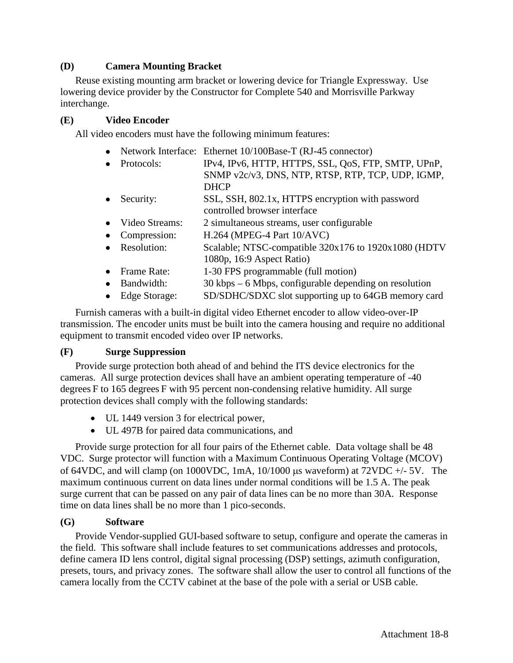## **(D) Camera Mounting Bracket**

Reuse existing mounting arm bracket or lowering device for Triangle Expressway. Use lowering device provider by the Constructor for Complete 540 and Morrisville Parkway interchange.

## **(E) Video Encoder**

All video encoders must have the following minimum features:

- Network Interface: Ethernet 10/100Base-T (RJ-45 connector)
- Protocols: IPv4, IPv6, HTTP, HTTPS, SSL, QoS, FTP, SMTP, UPnP, SNMP v2c/v3, DNS, NTP, RTSP, RTP, TCP, UDP, IGMP, DHCP
- Security: SSL, SSH, 802.1x, HTTPS encryption with password controlled browser interface
- Video Streams: 2 simultaneous streams, user configurable
- Compression: H.264 (MPEG-4 Part 10/AVC)
- Resolution: Scalable; NTSC-compatible 320x176 to 1920x1080 (HDTV 1080p, 16:9 Aspect Ratio)
- Frame Rate: 1-30 FPS programmable (full motion)
- Bandwidth: 30 kbps 6 Mbps, configurable depending on resolution
- Edge Storage: SD/SDHC/SDXC slot supporting up to 64GB memory card

Furnish cameras with a built-in digital video Ethernet encoder to allow video-over-IP transmission. The encoder units must be built into the camera housing and require no additional equipment to transmit encoded video over IP networks.

## **(F) Surge Suppression**

Provide surge protection both ahead of and behind the ITS device electronics for the cameras. All surge protection devices shall have an ambient operating temperature of -40 degrees F to 165 degrees F with 95 percent non-condensing relative humidity. All surge protection devices shall comply with the following standards:

- UL 1449 version 3 for electrical power,
- UL 497B for paired data communications, and

Provide surge protection for all four pairs of the Ethernet cable. Data voltage shall be 48 VDC. Surge protector will function with a Maximum Continuous Operating Voltage (MCOV) of 64VDC, and will clamp (on 1000VDC, 1mA,  $10/1000 \mu s$  waveform) at 72VDC  $+/-5V$ . The maximum continuous current on data lines under normal conditions will be 1.5 A. The peak surge current that can be passed on any pair of data lines can be no more than 30A. Response time on data lines shall be no more than 1 pico-seconds.

## **(G) Software**

Provide Vendor-supplied GUI-based software to setup, configure and operate the cameras in the field. This software shall include features to set communications addresses and protocols, define camera ID lens control, digital signal processing (DSP) settings, azimuth configuration, presets, tours, and privacy zones. The software shall allow the user to control all functions of the camera locally from the CCTV cabinet at the base of the pole with a serial or USB cable.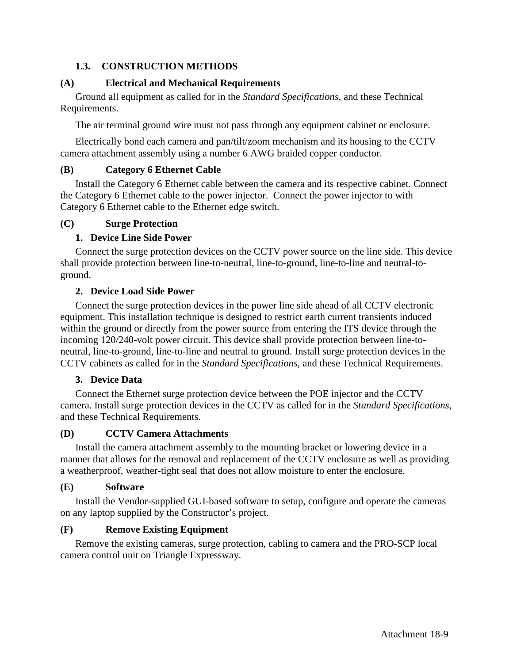## **1.3. CONSTRUCTION METHODS**

## **(A) Electrical and Mechanical Requirements**

Ground all equipment as called for in the *Standard Specifications*, and these Technical Requirements.

The air terminal ground wire must not pass through any equipment cabinet or enclosure.

Electrically bond each camera and pan/tilt/zoom mechanism and its housing to the CCTV camera attachment assembly using a number 6 AWG braided copper conductor.

## **(B) Category 6 Ethernet Cable**

Install the Category 6 Ethernet cable between the camera and its respective cabinet. Connect the Category 6 Ethernet cable to the power injector. Connect the power injector to with Category 6 Ethernet cable to the Ethernet edge switch.

## **(C) Surge Protection**

## **1. Device Line Side Power**

Connect the surge protection devices on the CCTV power source on the line side. This device shall provide protection between line-to-neutral, line-to-ground, line-to-line and neutral-toground.

## **2. Device Load Side Power**

Connect the surge protection devices in the power line side ahead of all CCTV electronic equipment. This installation technique is designed to restrict earth current transients induced within the ground or directly from the power source from entering the ITS device through the incoming 120/240-volt power circuit. This device shall provide protection between line-toneutral, line-to-ground, line-to-line and neutral to ground. Install surge protection devices in the CCTV cabinets as called for in the *Standard Specifications*, and these Technical Requirements.

## **3. Device Data**

Connect the Ethernet surge protection device between the POE injector and the CCTV camera. Install surge protection devices in the CCTV as called for in the *Standard Specifications*, and these Technical Requirements.

## **(D) CCTV Camera Attachments**

Install the camera attachment assembly to the mounting bracket or lowering device in a manner that allows for the removal and replacement of the CCTV enclosure as well as providing a weatherproof, weather-tight seal that does not allow moisture to enter the enclosure.

## **(E) Software**

Install the Vendor-supplied GUI-based software to setup, configure and operate the cameras on any laptop supplied by the Constructor's project.

## **(F) Remove Existing Equipment**

Remove the existing cameras, surge protection, cabling to camera and the PRO-SCP local camera control unit on Triangle Expressway.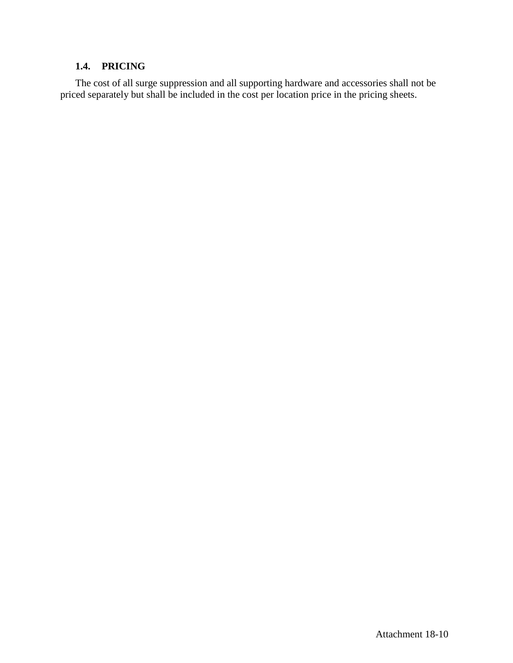## **1.4. PRICING**

The cost of all surge suppression and all supporting hardware and accessories shall not be priced separately but shall be included in the cost per location price in the pricing sheets.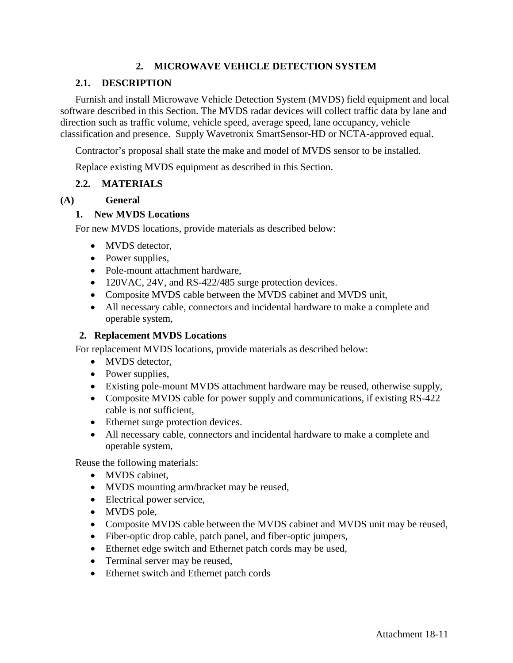## **2. MICROWAVE VEHICLE DETECTION SYSTEM**

## **2.1. DESCRIPTION**

Furnish and install Microwave Vehicle Detection System (MVDS) field equipment and local software described in this Section. The MVDS radar devices will collect traffic data by lane and direction such as traffic volume, vehicle speed, average speed, lane occupancy, vehicle classification and presence. Supply Wavetronix SmartSensor-HD or NCTA-approved equal.

Contractor's proposal shall state the make and model of MVDS sensor to be installed.

Replace existing MVDS equipment as described in this Section.

## **2.2. MATERIALS**

#### **(A) General**

#### **1. New MVDS Locations**

For new MVDS locations, provide materials as described below:

- MVDS detector,
- Power supplies,
- Pole-mount attachment hardware,
- 120VAC, 24V, and RS-422/485 surge protection devices.
- Composite MVDS cable between the MVDS cabinet and MVDS unit,
- All necessary cable, connectors and incidental hardware to make a complete and operable system,

#### **2. Replacement MVDS Locations**

For replacement MVDS locations, provide materials as described below:

- MVDS detector,
- Power supplies,
- Existing pole-mount MVDS attachment hardware may be reused, otherwise supply,
- Composite MVDS cable for power supply and communications, if existing RS-422 cable is not sufficient,
- Ethernet surge protection devices.
- All necessary cable, connectors and incidental hardware to make a complete and operable system,

Reuse the following materials:

- MVDS cabinet.
- MVDS mounting arm/bracket may be reused,
- Electrical power service,
- MVDS pole,
- Composite MVDS cable between the MVDS cabinet and MVDS unit may be reused,
- Fiber-optic drop cable, patch panel, and fiber-optic jumpers,
- Ethernet edge switch and Ethernet patch cords may be used,
- Terminal server may be reused,
- Ethernet switch and Ethernet patch cords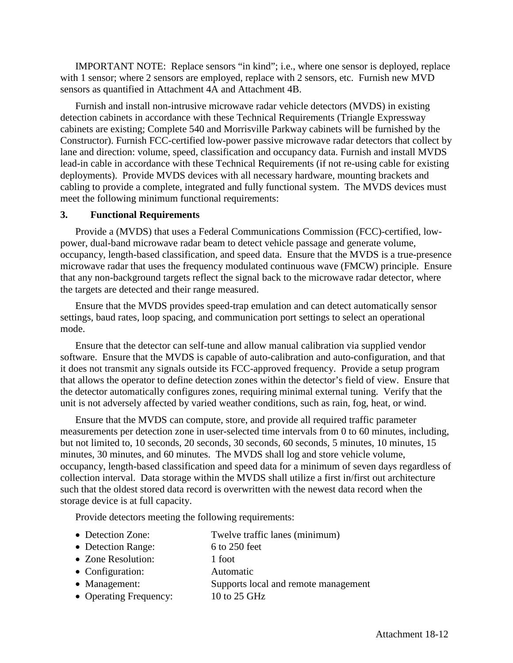IMPORTANT NOTE: Replace sensors "in kind"; i.e., where one sensor is deployed, replace with 1 sensor; where 2 sensors are employed, replace with 2 sensors, etc. Furnish new MVD sensors as quantified in Attachment 4A and Attachment 4B.

Furnish and install non-intrusive microwave radar vehicle detectors (MVDS) in existing detection cabinets in accordance with these Technical Requirements (Triangle Expressway cabinets are existing; Complete 540 and Morrisville Parkway cabinets will be furnished by the Constructor). Furnish FCC-certified low-power passive microwave radar detectors that collect by lane and direction: volume, speed, classification and occupancy data. Furnish and install MVDS lead-in cable in accordance with these Technical Requirements (if not re-using cable for existing deployments). Provide MVDS devices with all necessary hardware, mounting brackets and cabling to provide a complete, integrated and fully functional system. The MVDS devices must meet the following minimum functional requirements:

#### **3. Functional Requirements**

Provide a (MVDS) that uses a Federal Communications Commission (FCC)-certified, lowpower, dual-band microwave radar beam to detect vehicle passage and generate volume, occupancy, length-based classification, and speed data. Ensure that the MVDS is a true-presence microwave radar that uses the frequency modulated continuous wave (FMCW) principle. Ensure that any non-background targets reflect the signal back to the microwave radar detector, where the targets are detected and their range measured.

Ensure that the MVDS provides speed-trap emulation and can detect automatically sensor settings, baud rates, loop spacing, and communication port settings to select an operational mode.

Ensure that the detector can self-tune and allow manual calibration via supplied vendor software. Ensure that the MVDS is capable of auto-calibration and auto-configuration, and that it does not transmit any signals outside its FCC-approved frequency. Provide a setup program that allows the operator to define detection zones within the detector's field of view. Ensure that the detector automatically configures zones, requiring minimal external tuning. Verify that the unit is not adversely affected by varied weather conditions, such as rain, fog, heat, or wind.

Ensure that the MVDS can compute, store, and provide all required traffic parameter measurements per detection zone in user-selected time intervals from 0 to 60 minutes, including, but not limited to, 10 seconds, 20 seconds, 30 seconds, 60 seconds, 5 minutes, 10 minutes, 15 minutes, 30 minutes, and 60 minutes. The MVDS shall log and store vehicle volume, occupancy, length-based classification and speed data for a minimum of seven days regardless of collection interval. Data storage within the MVDS shall utilize a first in/first out architecture such that the oldest stored data record is overwritten with the newest data record when the storage device is at full capacity.

Provide detectors meeting the following requirements:

- Detection Zone: Twelve traffic lanes (minimum)
- Detection Range: 6 to 250 feet
- Zone Resolution: 1 foot
- Configuration: Automatic
- Management: Supports local and remote management
- Operating Frequency: 10 to 25 GHz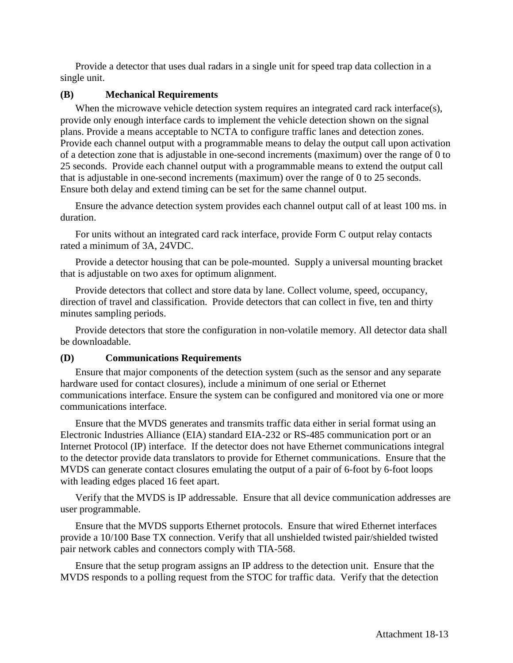Provide a detector that uses dual radars in a single unit for speed trap data collection in a single unit.

#### **(B) Mechanical Requirements**

When the microwave vehicle detection system requires an integrated card rack interface(s), provide only enough interface cards to implement the vehicle detection shown on the signal plans. Provide a means acceptable to NCTA to configure traffic lanes and detection zones. Provide each channel output with a programmable means to delay the output call upon activation of a detection zone that is adjustable in one-second increments (maximum) over the range of 0 to 25 seconds. Provide each channel output with a programmable means to extend the output call that is adjustable in one-second increments (maximum) over the range of 0 to 25 seconds. Ensure both delay and extend timing can be set for the same channel output.

Ensure the advance detection system provides each channel output call of at least 100 ms. in duration.

For units without an integrated card rack interface, provide Form C output relay contacts rated a minimum of 3A, 24VDC.

Provide a detector housing that can be pole-mounted. Supply a universal mounting bracket that is adjustable on two axes for optimum alignment.

Provide detectors that collect and store data by lane. Collect volume, speed, occupancy, direction of travel and classification. Provide detectors that can collect in five, ten and thirty minutes sampling periods.

Provide detectors that store the configuration in non-volatile memory. All detector data shall be downloadable.

#### **(D) Communications Requirements**

Ensure that major components of the detection system (such as the sensor and any separate hardware used for contact closures), include a minimum of one serial or Ethernet communications interface. Ensure the system can be configured and monitored via one or more communications interface.

Ensure that the MVDS generates and transmits traffic data either in serial format using an Electronic Industries Alliance (EIA) standard EIA-232 or RS-485 communication port or an Internet Protocol (IP) interface. If the detector does not have Ethernet communications integral to the detector provide data translators to provide for Ethernet communications. Ensure that the MVDS can generate contact closures emulating the output of a pair of 6-foot by 6-foot loops with leading edges placed 16 feet apart.

Verify that the MVDS is IP addressable. Ensure that all device communication addresses are user programmable.

Ensure that the MVDS supports Ethernet protocols. Ensure that wired Ethernet interfaces provide a 10/100 Base TX connection. Verify that all unshielded twisted pair/shielded twisted pair network cables and connectors comply with TIA-568.

Ensure that the setup program assigns an IP address to the detection unit. Ensure that the MVDS responds to a polling request from the STOC for traffic data. Verify that the detection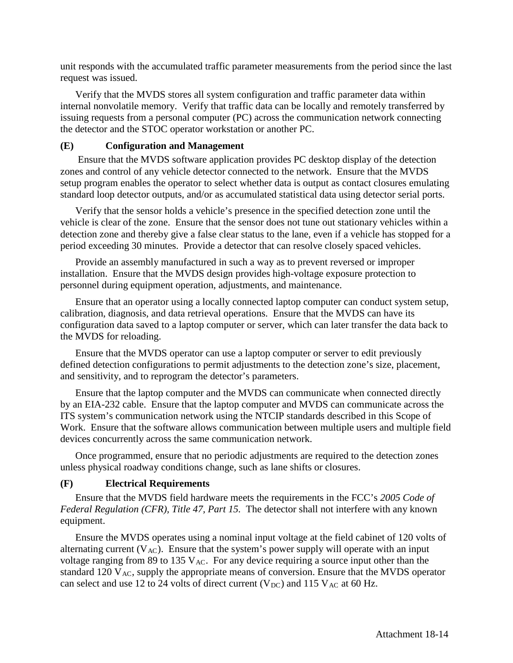unit responds with the accumulated traffic parameter measurements from the period since the last request was issued.

Verify that the MVDS stores all system configuration and traffic parameter data within internal nonvolatile memory. Verify that traffic data can be locally and remotely transferred by issuing requests from a personal computer (PC) across the communication network connecting the detector and the STOC operator workstation or another PC.

## **(E) Configuration and Management**

Ensure that the MVDS software application provides PC desktop display of the detection zones and control of any vehicle detector connected to the network. Ensure that the MVDS setup program enables the operator to select whether data is output as contact closures emulating standard loop detector outputs, and/or as accumulated statistical data using detector serial ports.

Verify that the sensor holds a vehicle's presence in the specified detection zone until the vehicle is clear of the zone. Ensure that the sensor does not tune out stationary vehicles within a detection zone and thereby give a false clear status to the lane, even if a vehicle has stopped for a period exceeding 30 minutes. Provide a detector that can resolve closely spaced vehicles.

Provide an assembly manufactured in such a way as to prevent reversed or improper installation. Ensure that the MVDS design provides high-voltage exposure protection to personnel during equipment operation, adjustments, and maintenance.

Ensure that an operator using a locally connected laptop computer can conduct system setup, calibration, diagnosis, and data retrieval operations. Ensure that the MVDS can have its configuration data saved to a laptop computer or server, which can later transfer the data back to the MVDS for reloading.

Ensure that the MVDS operator can use a laptop computer or server to edit previously defined detection configurations to permit adjustments to the detection zone's size, placement, and sensitivity, and to reprogram the detector's parameters.

Ensure that the laptop computer and the MVDS can communicate when connected directly by an EIA-232 cable. Ensure that the laptop computer and MVDS can communicate across the ITS system's communication network using the NTCIP standards described in this Scope of Work. Ensure that the software allows communication between multiple users and multiple field devices concurrently across the same communication network.

Once programmed, ensure that no periodic adjustments are required to the detection zones unless physical roadway conditions change, such as lane shifts or closures.

## **(F) Electrical Requirements**

Ensure that the MVDS field hardware meets the requirements in the FCC's *2005 Code of Federal Regulation (CFR), Title 47, Part 15.* The detector shall not interfere with any known equipment.

Ensure the MVDS operates using a nominal input voltage at the field cabinet of 120 volts of alternating current  $(V_{AC})$ . Ensure that the system's power supply will operate with an input voltage ranging from 89 to 135  $V_{AC}$ . For any device requiring a source input other than the standard 120  $V_{AC}$ , supply the appropriate means of conversion. Ensure that the MVDS operator can select and use 12 to 24 volts of direct current ( $V_{DC}$ ) and 115  $V_{AC}$  at 60 Hz.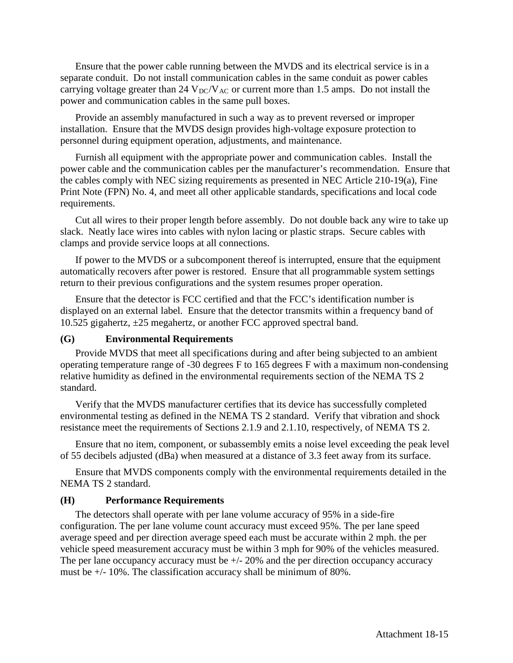Ensure that the power cable running between the MVDS and its electrical service is in a separate conduit. Do not install communication cables in the same conduit as power cables carrying voltage greater than 24  $V_{DC}/V_{AC}$  or current more than 1.5 amps. Do not install the power and communication cables in the same pull boxes.

Provide an assembly manufactured in such a way as to prevent reversed or improper installation. Ensure that the MVDS design provides high-voltage exposure protection to personnel during equipment operation, adjustments, and maintenance.

Furnish all equipment with the appropriate power and communication cables. Install the power cable and the communication cables per the manufacturer's recommendation. Ensure that the cables comply with NEC sizing requirements as presented in NEC Article 210-19(a), Fine Print Note (FPN) No. 4, and meet all other applicable standards, specifications and local code requirements.

Cut all wires to their proper length before assembly. Do not double back any wire to take up slack. Neatly lace wires into cables with nylon lacing or plastic straps. Secure cables with clamps and provide service loops at all connections.

If power to the MVDS or a subcomponent thereof is interrupted, ensure that the equipment automatically recovers after power is restored. Ensure that all programmable system settings return to their previous configurations and the system resumes proper operation.

Ensure that the detector is FCC certified and that the FCC's identification number is displayed on an external label. Ensure that the detector transmits within a frequency band of 10.525 gigahertz,  $\pm 25$  megahertz, or another FCC approved spectral band.

#### **(G) Environmental Requirements**

Provide MVDS that meet all specifications during and after being subjected to an ambient operating temperature range of -30 degrees F to 165 degrees F with a maximum non-condensing relative humidity as defined in the environmental requirements section of the NEMA TS 2 standard.

Verify that the MVDS manufacturer certifies that its device has successfully completed environmental testing as defined in the NEMA TS 2 standard. Verify that vibration and shock resistance meet the requirements of Sections 2.1.9 and 2.1.10, respectively, of NEMA TS 2.

Ensure that no item, component, or subassembly emits a noise level exceeding the peak level of 55 decibels adjusted (dBa) when measured at a distance of 3.3 feet away from its surface.

Ensure that MVDS components comply with the environmental requirements detailed in the NEMA TS 2 standard.

#### **(H) Performance Requirements**

The detectors shall operate with per lane volume accuracy of 95% in a side-fire configuration. The per lane volume count accuracy must exceed 95%. The per lane speed average speed and per direction average speed each must be accurate within 2 mph. the per vehicle speed measurement accuracy must be within 3 mph for 90% of the vehicles measured. The per lane occupancy accuracy must be  $+/- 20\%$  and the per direction occupancy accuracy must be  $+/- 10\%$ . The classification accuracy shall be minimum of 80%.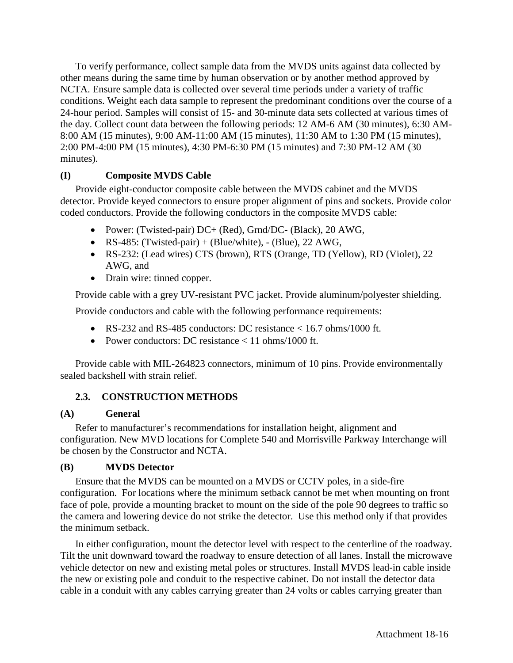To verify performance, collect sample data from the MVDS units against data collected by other means during the same time by human observation or by another method approved by NCTA. Ensure sample data is collected over several time periods under a variety of traffic conditions. Weight each data sample to represent the predominant conditions over the course of a 24-hour period. Samples will consist of 15- and 30-minute data sets collected at various times of the day. Collect count data between the following periods: 12 AM-6 AM (30 minutes), 6:30 AM-8:00 AM (15 minutes), 9:00 AM-11:00 AM (15 minutes), 11:30 AM to 1:30 PM (15 minutes), 2:00 PM-4:00 PM (15 minutes), 4:30 PM-6:30 PM (15 minutes) and 7:30 PM-12 AM (30 minutes).

## **(I) Composite MVDS Cable**

Provide eight-conductor composite cable between the MVDS cabinet and the MVDS detector. Provide keyed connectors to ensure proper alignment of pins and sockets. Provide color coded conductors. Provide the following conductors in the composite MVDS cable:

- Power: (Twisted-pair) DC+ (Red), Grnd/DC- (Black), 20 AWG,
- RS-485: (Twisted-pair) + (Blue/white),  $-$  (Blue), 22 AWG,
- RS-232: (Lead wires) CTS (brown), RTS (Orange, TD (Yellow), RD (Violet), 22 AWG, and
- Drain wire: tinned copper.

Provide cable with a grey UV-resistant PVC jacket. Provide aluminum/polyester shielding.

Provide conductors and cable with the following performance requirements:

- RS-232 and RS-485 conductors: DC resistance  $< 16.7$  ohms/1000 ft.
- Power conductors: DC resistance  $\lt 11$  ohms/1000 ft.

Provide cable with MIL-264823 connectors, minimum of 10 pins. Provide environmentally sealed backshell with strain relief.

## **2.3. CONSTRUCTION METHODS**

## **(A) General**

Refer to manufacturer's recommendations for installation height, alignment and configuration. New MVD locations for Complete 540 and Morrisville Parkway Interchange will be chosen by the Constructor and NCTA.

## **(B) MVDS Detector**

Ensure that the MVDS can be mounted on a MVDS or CCTV poles, in a side-fire configuration. For locations where the minimum setback cannot be met when mounting on front face of pole, provide a mounting bracket to mount on the side of the pole 90 degrees to traffic so the camera and lowering device do not strike the detector. Use this method only if that provides the minimum setback.

In either configuration, mount the detector level with respect to the centerline of the roadway. Tilt the unit downward toward the roadway to ensure detection of all lanes. Install the microwave vehicle detector on new and existing metal poles or structures. Install MVDS lead-in cable inside the new or existing pole and conduit to the respective cabinet. Do not install the detector data cable in a conduit with any cables carrying greater than 24 volts or cables carrying greater than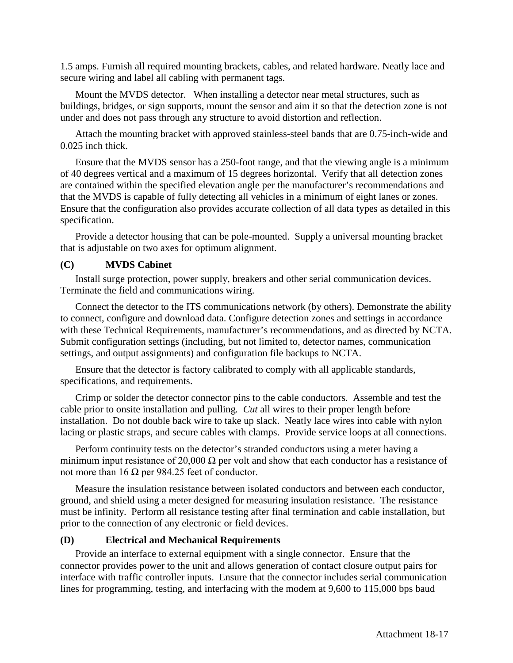1.5 amps. Furnish all required mounting brackets, cables, and related hardware. Neatly lace and secure wiring and label all cabling with permanent tags.

Mount the MVDS detector. When installing a detector near metal structures, such as buildings, bridges, or sign supports, mount the sensor and aim it so that the detection zone is not under and does not pass through any structure to avoid distortion and reflection.

Attach the mounting bracket with approved stainless-steel bands that are 0.75-inch-wide and 0.025 inch thick.

Ensure that the MVDS sensor has a 250-foot range, and that the viewing angle is a minimum of 40 degrees vertical and a maximum of 15 degrees horizontal. Verify that all detection zones are contained within the specified elevation angle per the manufacturer's recommendations and that the MVDS is capable of fully detecting all vehicles in a minimum of eight lanes or zones. Ensure that the configuration also provides accurate collection of all data types as detailed in this specification.

Provide a detector housing that can be pole-mounted. Supply a universal mounting bracket that is adjustable on two axes for optimum alignment.

#### **(C) MVDS Cabinet**

Install surge protection, power supply, breakers and other serial communication devices. Terminate the field and communications wiring.

Connect the detector to the ITS communications network (by others). Demonstrate the ability to connect, configure and download data. Configure detection zones and settings in accordance with these Technical Requirements, manufacturer's recommendations, and as directed by NCTA. Submit configuration settings (including, but not limited to, detector names, communication settings, and output assignments) and configuration file backups to NCTA.

Ensure that the detector is factory calibrated to comply with all applicable standards, specifications, and requirements.

Crimp or solder the detector connector pins to the cable conductors. Assemble and test the cable prior to onsite installation and pulling*. Cut* all wires to their proper length before installation. Do not double back wire to take up slack. Neatly lace wires into cable with nylon lacing or plastic straps, and secure cables with clamps. Provide service loops at all connections.

Perform continuity tests on the detector's stranded conductors using a meter having a minimum input resistance of 20,000  $\Omega$  per volt and show that each conductor has a resistance of not more than 16 Ω per 984.25 feet of conductor.

Measure the insulation resistance between isolated conductors and between each conductor, ground, and shield using a meter designed for measuring insulation resistance. The resistance must be infinity. Perform all resistance testing after final termination and cable installation, but prior to the connection of any electronic or field devices.

#### **(D) Electrical and Mechanical Requirements**

Provide an interface to external equipment with a single connector. Ensure that the connector provides power to the unit and allows generation of contact closure output pairs for interface with traffic controller inputs. Ensure that the connector includes serial communication lines for programming, testing, and interfacing with the modem at 9,600 to 115,000 bps baud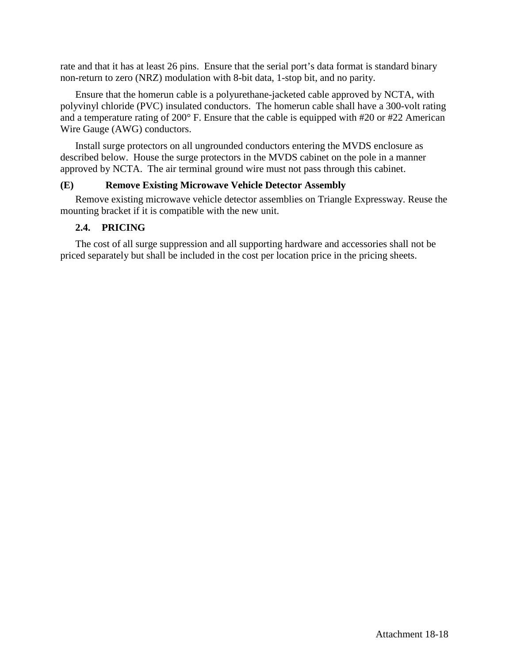rate and that it has at least 26 pins. Ensure that the serial port's data format is standard binary non-return to zero (NRZ) modulation with 8-bit data, 1-stop bit, and no parity.

Ensure that the homerun cable is a polyurethane-jacketed cable approved by NCTA, with polyvinyl chloride (PVC) insulated conductors. The homerun cable shall have a 300-volt rating and a temperature rating of 200° F. Ensure that the cable is equipped with #20 or #22 American Wire Gauge (AWG) conductors.

Install surge protectors on all ungrounded conductors entering the MVDS enclosure as described below. House the surge protectors in the MVDS cabinet on the pole in a manner approved by NCTA. The air terminal ground wire must not pass through this cabinet.

## **(E) Remove Existing Microwave Vehicle Detector Assembly**

Remove existing microwave vehicle detector assemblies on Triangle Expressway. Reuse the mounting bracket if it is compatible with the new unit.

## **2.4. PRICING**

The cost of all surge suppression and all supporting hardware and accessories shall not be priced separately but shall be included in the cost per location price in the pricing sheets.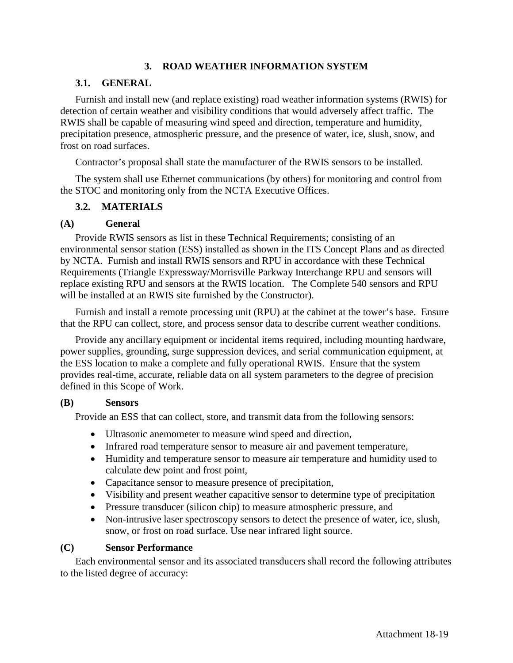## **3. ROAD WEATHER INFORMATION SYSTEM**

## **3.1. GENERAL**

Furnish and install new (and replace existing) road weather information systems (RWIS) for detection of certain weather and visibility conditions that would adversely affect traffic. The RWIS shall be capable of measuring wind speed and direction, temperature and humidity, precipitation presence, atmospheric pressure, and the presence of water, ice, slush, snow, and frost on road surfaces.

Contractor's proposal shall state the manufacturer of the RWIS sensors to be installed.

The system shall use Ethernet communications (by others) for monitoring and control from the STOC and monitoring only from the NCTA Executive Offices.

## **3.2. MATERIALS**

## **(A) General**

Provide RWIS sensors as list in these Technical Requirements; consisting of an environmental sensor station (ESS) installed as shown in the ITS Concept Plans and as directed by NCTA. Furnish and install RWIS sensors and RPU in accordance with these Technical Requirements (Triangle Expressway/Morrisville Parkway Interchange RPU and sensors will replace existing RPU and sensors at the RWIS location. The Complete 540 sensors and RPU will be installed at an RWIS site furnished by the Constructor).

Furnish and install a remote processing unit (RPU) at the cabinet at the tower's base. Ensure that the RPU can collect, store, and process sensor data to describe current weather conditions.

Provide any ancillary equipment or incidental items required, including mounting hardware, power supplies, grounding, surge suppression devices, and serial communication equipment, at the ESS location to make a complete and fully operational RWIS. Ensure that the system provides real-time, accurate, reliable data on all system parameters to the degree of precision defined in this Scope of Work.

#### **(B) Sensors**

Provide an ESS that can collect, store, and transmit data from the following sensors:

- Ultrasonic anemometer to measure wind speed and direction,
- Infrared road temperature sensor to measure air and pavement temperature,
- Humidity and temperature sensor to measure air temperature and humidity used to calculate dew point and frost point,
- Capacitance sensor to measure presence of precipitation,
- Visibility and present weather capacitive sensor to determine type of precipitation
- Pressure transducer (silicon chip) to measure atmospheric pressure, and
- Non-intrusive laser spectroscopy sensors to detect the presence of water, ice, slush, snow, or frost on road surface. Use near infrared light source.

## **(C) Sensor Performance**

Each environmental sensor and its associated transducers shall record the following attributes to the listed degree of accuracy: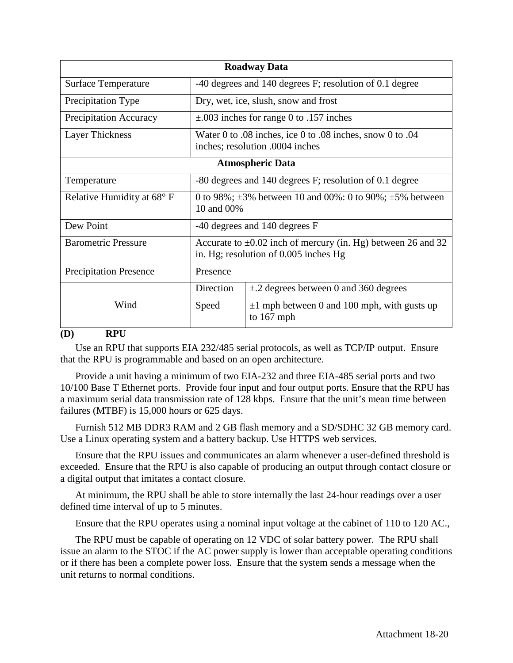| <b>Roadway Data</b>           |                                                                                                            |                                                                  |  |
|-------------------------------|------------------------------------------------------------------------------------------------------------|------------------------------------------------------------------|--|
| Surface Temperature           | -40 degrees and 140 degrees F; resolution of 0.1 degree                                                    |                                                                  |  |
| <b>Precipitation Type</b>     |                                                                                                            | Dry, wet, ice, slush, snow and frost                             |  |
| <b>Precipitation Accuracy</b> |                                                                                                            | $\pm$ .003 inches for range 0 to .157 inches                     |  |
| Layer Thickness               | Water 0 to .08 inches, ice 0 to .08 inches, snow 0 to .04<br>inches; resolution .0004 inches               |                                                                  |  |
| <b>Atmospheric Data</b>       |                                                                                                            |                                                                  |  |
| Temperature                   | -80 degrees and 140 degrees F; resolution of 0.1 degree                                                    |                                                                  |  |
| Relative Humidity at 68° F    | 0 to 98%; $\pm 3\%$ between 10 and 00%: 0 to 90%; $\pm 5\%$ between<br>10 and 00%                          |                                                                  |  |
| Dew Point                     | -40 degrees and 140 degrees F                                                                              |                                                                  |  |
| <b>Barometric Pressure</b>    | Accurate to $\pm 0.02$ inch of mercury (in. Hg) between 26 and 32<br>in. Hg; resolution of 0.005 inches Hg |                                                                  |  |
| <b>Precipitation Presence</b> | Presence                                                                                                   |                                                                  |  |
|                               | Direction                                                                                                  | $\pm$ .2 degrees between 0 and 360 degrees                       |  |
| Wind                          | Speed                                                                                                      | $\pm 1$ mph between 0 and 100 mph, with gusts up<br>to $167$ mph |  |

#### **(D) RPU**

Use an RPU that supports EIA 232/485 serial protocols, as well as TCP/IP output. Ensure that the RPU is programmable and based on an open architecture.

Provide a unit having a minimum of two EIA-232 and three EIA-485 serial ports and two 10/100 Base T Ethernet ports. Provide four input and four output ports. Ensure that the RPU has a maximum serial data transmission rate of 128 kbps. Ensure that the unit's mean time between failures (MTBF) is 15,000 hours or 625 days.

Furnish 512 MB DDR3 RAM and 2 GB flash memory and a SD/SDHC 32 GB memory card. Use a Linux operating system and a battery backup. Use HTTPS web services.

Ensure that the RPU issues and communicates an alarm whenever a user-defined threshold is exceeded. Ensure that the RPU is also capable of producing an output through contact closure or a digital output that imitates a contact closure.

At minimum, the RPU shall be able to store internally the last 24-hour readings over a user defined time interval of up to 5 minutes.

Ensure that the RPU operates using a nominal input voltage at the cabinet of 110 to 120 AC.,

The RPU must be capable of operating on 12 VDC of solar battery power. The RPU shall issue an alarm to the STOC if the AC power supply is lower than acceptable operating conditions or if there has been a complete power loss. Ensure that the system sends a message when the unit returns to normal conditions.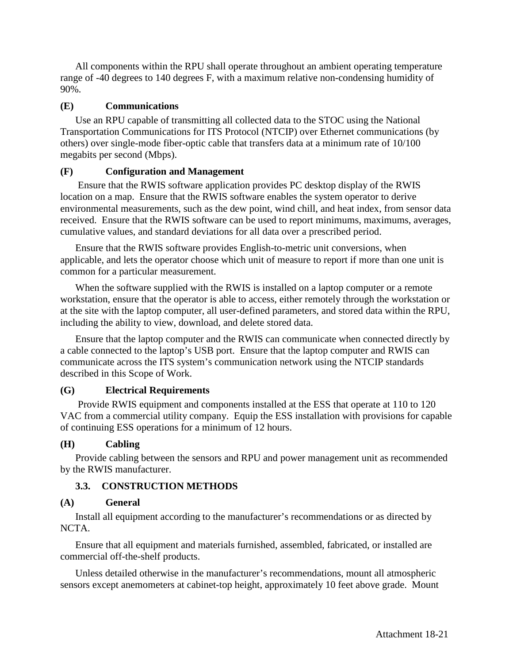All components within the RPU shall operate throughout an ambient operating temperature range of -40 degrees to 140 degrees F, with a maximum relative non-condensing humidity of 90%.

## **(E) Communications**

Use an RPU capable of transmitting all collected data to the STOC using the National Transportation Communications for ITS Protocol (NTCIP) over Ethernet communications (by others) over single-mode fiber-optic cable that transfers data at a minimum rate of 10/100 megabits per second (Mbps).

## **(F) Configuration and Management**

Ensure that the RWIS software application provides PC desktop display of the RWIS location on a map. Ensure that the RWIS software enables the system operator to derive environmental measurements, such as the dew point, wind chill, and heat index, from sensor data received. Ensure that the RWIS software can be used to report minimums, maximums, averages, cumulative values, and standard deviations for all data over a prescribed period.

Ensure that the RWIS software provides English-to-metric unit conversions, when applicable, and lets the operator choose which unit of measure to report if more than one unit is common for a particular measurement.

When the software supplied with the RWIS is installed on a laptop computer or a remote workstation, ensure that the operator is able to access, either remotely through the workstation or at the site with the laptop computer, all user-defined parameters, and stored data within the RPU, including the ability to view, download, and delete stored data.

Ensure that the laptop computer and the RWIS can communicate when connected directly by a cable connected to the laptop's USB port. Ensure that the laptop computer and RWIS can communicate across the ITS system's communication network using the NTCIP standards described in this Scope of Work.

## **(G) Electrical Requirements**

Provide RWIS equipment and components installed at the ESS that operate at 110 to 120 VAC from a commercial utility company. Equip the ESS installation with provisions for capable of continuing ESS operations for a minimum of 12 hours.

## **(H) Cabling**

Provide cabling between the sensors and RPU and power management unit as recommended by the RWIS manufacturer.

## **3.3. CONSTRUCTION METHODS**

## **(A) General**

Install all equipment according to the manufacturer's recommendations or as directed by NCTA.

Ensure that all equipment and materials furnished, assembled, fabricated, or installed are commercial off-the-shelf products.

Unless detailed otherwise in the manufacturer's recommendations, mount all atmospheric sensors except anemometers at cabinet-top height, approximately 10 feet above grade. Mount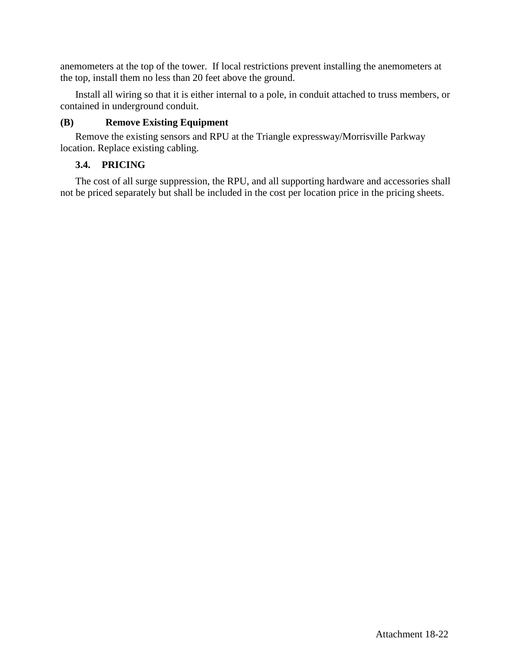anemometers at the top of the tower. If local restrictions prevent installing the anemometers at the top, install them no less than 20 feet above the ground.

Install all wiring so that it is either internal to a pole, in conduit attached to truss members, or contained in underground conduit.

## **(B) Remove Existing Equipment**

Remove the existing sensors and RPU at the Triangle expressway/Morrisville Parkway location. Replace existing cabling.

## **3.4. PRICING**

The cost of all surge suppression, the RPU, and all supporting hardware and accessories shall not be priced separately but shall be included in the cost per location price in the pricing sheets.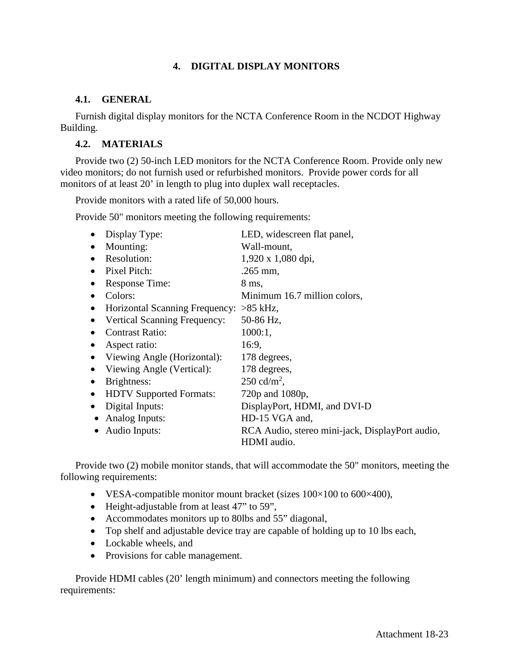## **4. DIGITAL DISPLAY MONITORS**

## **4.1. GENERAL**

Furnish digital display monitors for the NCTA Conference Room in the NCDOT Highway Building.

## **4.2. MATERIALS**

Provide two (2) 50-inch LED monitors for the NCTA Conference Room. Provide only new video monitors; do not furnish used or refurbished monitors. Provide power cords for all monitors of at least 20' in length to plug into duplex wall receptacles.

Provide monitors with a rated life of 50,000 hours.

Provide 50" monitors meeting the following requirements:

|           | Display Type:                       | LED, widescreen flat panel,                     |
|-----------|-------------------------------------|-------------------------------------------------|
| $\bullet$ | Mounting:                           | Wall-mount,                                     |
| $\bullet$ | Resolution:                         | 1,920 x 1,080 dpi,                              |
| $\bullet$ | Pixel Pitch:                        | $.265$ mm,                                      |
|           | Response Time:                      | 8 ms,                                           |
|           | Colors:                             | Minimum 16.7 million colors,                    |
| $\bullet$ | Horizontal Scanning Frequency:      | $>85$ kHz,                                      |
|           | <b>Vertical Scanning Frequency:</b> | 50-86 Hz,                                       |
|           | <b>Contrast Ratio:</b>              | $1000:1$ ,                                      |
|           | Aspect ratio:                       | 16:9,                                           |
| $\bullet$ | Viewing Angle (Horizontal):         | 178 degrees,                                    |
| $\bullet$ | Viewing Angle (Vertical):           | 178 degrees,                                    |
| $\bullet$ | Brightness:                         | $250 \text{ cd/m}^2$ ,                          |
| $\bullet$ | <b>HDTV</b> Supported Formats:      | 720p and 1080p,                                 |
| $\bullet$ | Digital Inputs:                     | DisplayPort, HDMI, and DVI-D                    |
|           | Analog Inputs:                      | HD-15 VGA and,                                  |
|           | Audio Inputs:                       | RCA Audio, stereo mini-jack, DisplayPort audio, |
|           |                                     | HDMI audio.                                     |

Provide two (2) mobile monitor stands, that will accommodate the 50" monitors, meeting the following requirements:

- VESA-compatible monitor mount bracket (sizes  $100 \times 100$  to  $600 \times 400$ ),
- Height-adjustable from at least 47" to 59",
- Accommodates monitors up to 80lbs and 55" diagonal,
- Top shelf and adjustable device tray are capable of holding up to 10 lbs each,
- Lockable wheels, and
- Provisions for cable management.

Provide HDMI cables (20' length minimum) and connectors meeting the following requirements: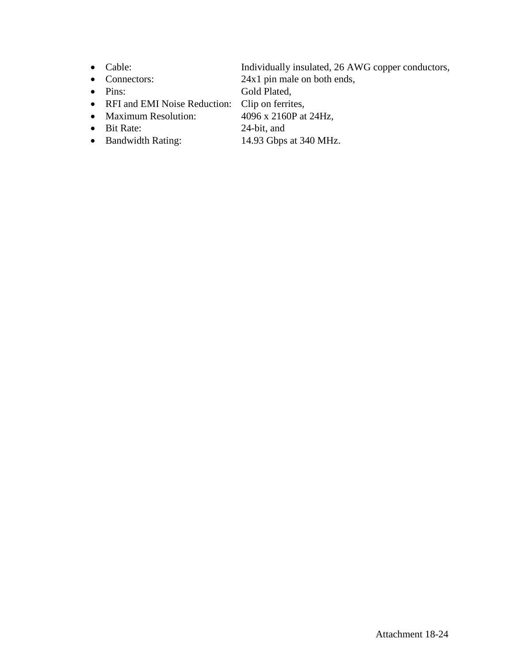- 
- 
- 
- 
- Maximum Resolution:
- -
- Cable: Individually insulated, 26 AWG copper conductors,
- Connectors: 24x1 pin male on both ends,
- Pins: Gold Plated,
- RFI and EMI Noise Reduction: Clip on ferrites,<br>• Maximum Resolution: 4096 x 2160P at 24Hz,
	-
- Bit Rate: 24-bit, and
- Bandwidth Rating: 14.93 Gbps at 340 MHz.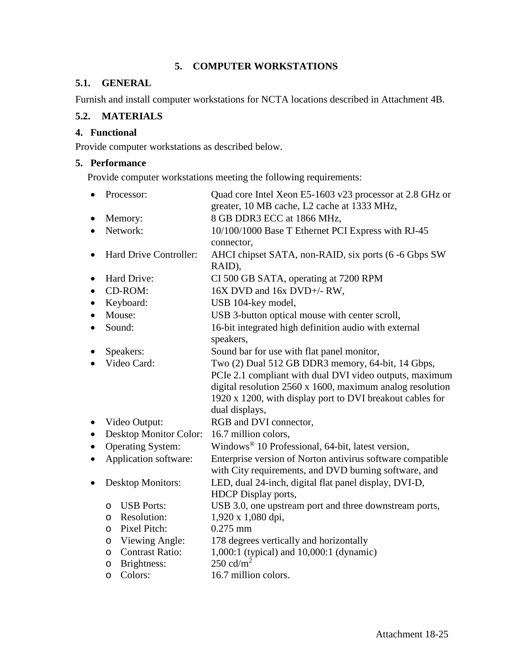## **5. COMPUTER WORKSTATIONS**

## **5.1. GENERAL**

Furnish and install computer workstations for NCTA locations described in Attachment 4B.

## **5.2. MATERIALS**

## **4. Functional**

Provide computer workstations as described below.

## **5. Performance**

Provide computer workstations meeting the following requirements:

|           |          | Processor:               | Quad core Intel Xeon E5-1603 v23 processor at 2.8 GHz or                                                            |
|-----------|----------|--------------------------|---------------------------------------------------------------------------------------------------------------------|
|           |          |                          | greater, 10 MB cache, L2 cache at 1333 MHz,                                                                         |
|           |          | Memory:                  | 8 GB DDR3 ECC at 1866 MHz,                                                                                          |
| $\bullet$ | Network: |                          | 10/100/1000 Base T Ethernet PCI Express with RJ-45<br>connector,                                                    |
| $\bullet$ |          | Hard Drive Controller:   | AHCI chipset SATA, non-RAID, six ports (6 -6 Gbps SW<br>RAID),                                                      |
| $\bullet$ |          | Hard Drive:              | CI 500 GB SATA, operating at 7200 RPM                                                                               |
| $\bullet$ |          | CD-ROM:                  | 16X DVD and 16x DVD+/- RW,                                                                                          |
| $\bullet$ |          | Keyboard:                | USB 104-key model,                                                                                                  |
| $\bullet$ |          | Mouse:                   | USB 3-button optical mouse with center scroll,                                                                      |
| $\bullet$ |          | Sound:                   | 16-bit integrated high definition audio with external<br>speakers,                                                  |
|           |          | Speakers:                | Sound bar for use with flat panel monitor,                                                                          |
|           |          | Video Card:              | Two (2) Dual 512 GB DDR3 memory, 64-bit, 14 Gbps,                                                                   |
|           |          |                          | PCIe 2.1 compliant with dual DVI video outputs, maximum                                                             |
|           |          |                          | digital resolution $2560 \times 1600$ , maximum analog resolution                                                   |
|           |          |                          | 1920 x 1200, with display port to DVI breakout cables for                                                           |
|           |          |                          | dual displays,                                                                                                      |
| $\bullet$ |          | Video Output:            | RGB and DVI connector,                                                                                              |
| $\bullet$ |          | Desktop Monitor Color:   | 16.7 million colors,                                                                                                |
|           |          | <b>Operating System:</b> | Windows® 10 Professional, 64-bit, latest version,                                                                   |
| $\bullet$ |          | Application software:    | Enterprise version of Norton antivirus software compatible<br>with City requirements, and DVD burning software, and |
| $\bullet$ |          | <b>Desktop Monitors:</b> | LED, dual 24-inch, digital flat panel display, DVI-D,                                                               |
|           |          |                          | <b>HDCP</b> Display ports,                                                                                          |
|           | $\circ$  | <b>USB Ports:</b>        | USB 3.0, one upstream port and three downstream ports,                                                              |
|           | $\circ$  | Resolution:              | 1,920 x 1,080 dpi,                                                                                                  |
|           | $\circ$  | Pixel Pitch:             | $0.275$ mm                                                                                                          |
|           | $\circ$  | Viewing Angle:           | 178 degrees vertically and horizontally                                                                             |
|           | O        | <b>Contrast Ratio:</b>   | 1,000:1 (typical) and 10,000:1 (dynamic)                                                                            |
|           | $\circ$  | Brightness:              | 250 cd/ $m2$                                                                                                        |
|           | $\circ$  | Colors:                  | 16.7 million colors.                                                                                                |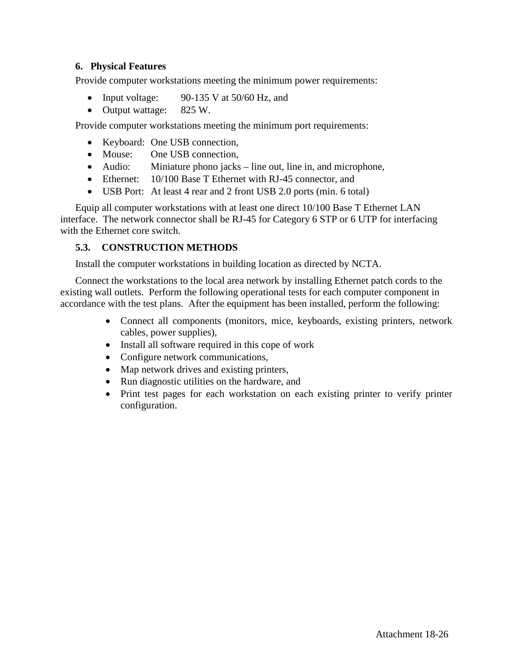## **6. Physical Features**

Provide computer workstations meeting the minimum power requirements:

- Input voltage: 90-135 V at  $50/60$  Hz, and
- Output wattage: 825 W.

Provide computer workstations meeting the minimum port requirements:

- Keyboard: One USB connection,
- Mouse: One USB connection,
- Audio: Miniature phono jacks line out, line in, and microphone,
- Ethernet: 10/100 Base T Ethernet with RJ-45 connector, and
- USB Port: At least 4 rear and 2 front USB 2.0 ports (min. 6 total)

Equip all computer workstations with at least one direct 10/100 Base T Ethernet LAN interface. The network connector shall be RJ-45 for Category 6 STP or 6 UTP for interfacing with the Ethernet core switch.

## **5.3. CONSTRUCTION METHODS**

Install the computer workstations in building location as directed by NCTA.

Connect the workstations to the local area network by installing Ethernet patch cords to the existing wall outlets. Perform the following operational tests for each computer component in accordance with the test plans. After the equipment has been installed, perform the following:

- Connect all components (monitors, mice, keyboards, existing printers, network cables, power supplies),
- Install all software required in this cope of work
- Configure network communications,
- Map network drives and existing printers,
- Run diagnostic utilities on the hardware, and
- Print test pages for each workstation on each existing printer to verify printer configuration.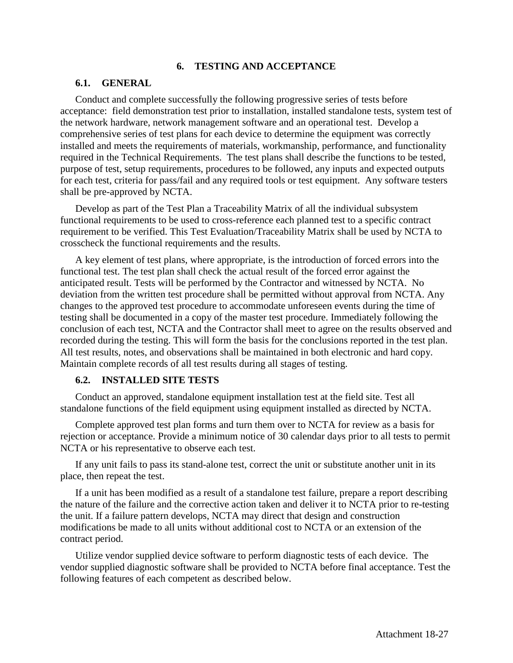#### **6. TESTING AND ACCEPTANCE**

## **6.1. GENERAL**

Conduct and complete successfully the following progressive series of tests before acceptance: field demonstration test prior to installation, installed standalone tests, system test of the network hardware, network management software and an operational test. Develop a comprehensive series of test plans for each device to determine the equipment was correctly installed and meets the requirements of materials, workmanship, performance, and functionality required in the Technical Requirements. The test plans shall describe the functions to be tested, purpose of test, setup requirements, procedures to be followed, any inputs and expected outputs for each test, criteria for pass/fail and any required tools or test equipment. Any software testers shall be pre-approved by NCTA.

Develop as part of the Test Plan a Traceability Matrix of all the individual subsystem functional requirements to be used to cross-reference each planned test to a specific contract requirement to be verified. This Test Evaluation/Traceability Matrix shall be used by NCTA to crosscheck the functional requirements and the results.

A key element of test plans, where appropriate, is the introduction of forced errors into the functional test. The test plan shall check the actual result of the forced error against the anticipated result. Tests will be performed by the Contractor and witnessed by NCTA. No deviation from the written test procedure shall be permitted without approval from NCTA. Any changes to the approved test procedure to accommodate unforeseen events during the time of testing shall be documented in a copy of the master test procedure. Immediately following the conclusion of each test, NCTA and the Contractor shall meet to agree on the results observed and recorded during the testing. This will form the basis for the conclusions reported in the test plan. All test results, notes, and observations shall be maintained in both electronic and hard copy. Maintain complete records of all test results during all stages of testing.

#### **6.2. INSTALLED SITE TESTS**

Conduct an approved, standalone equipment installation test at the field site. Test all standalone functions of the field equipment using equipment installed as directed by NCTA.

Complete approved test plan forms and turn them over to NCTA for review as a basis for rejection or acceptance. Provide a minimum notice of 30 calendar days prior to all tests to permit NCTA or his representative to observe each test.

If any unit fails to pass its stand-alone test, correct the unit or substitute another unit in its place, then repeat the test.

If a unit has been modified as a result of a standalone test failure, prepare a report describing the nature of the failure and the corrective action taken and deliver it to NCTA prior to re-testing the unit. If a failure pattern develops, NCTA may direct that design and construction modifications be made to all units without additional cost to NCTA or an extension of the contract period.

Utilize vendor supplied device software to perform diagnostic tests of each device. The vendor supplied diagnostic software shall be provided to NCTA before final acceptance. Test the following features of each competent as described below.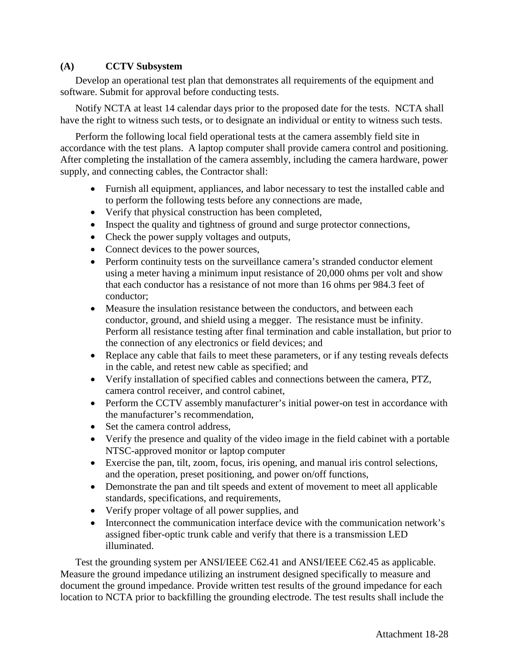## **(A) CCTV Subsystem**

Develop an operational test plan that demonstrates all requirements of the equipment and software. Submit for approval before conducting tests.

Notify NCTA at least 14 calendar days prior to the proposed date for the tests. NCTA shall have the right to witness such tests, or to designate an individual or entity to witness such tests.

Perform the following local field operational tests at the camera assembly field site in accordance with the test plans. A laptop computer shall provide camera control and positioning. After completing the installation of the camera assembly, including the camera hardware, power supply, and connecting cables, the Contractor shall:

- Furnish all equipment, appliances, and labor necessary to test the installed cable and to perform the following tests before any connections are made,
- Verify that physical construction has been completed,
- Inspect the quality and tightness of ground and surge protector connections,
- Check the power supply voltages and outputs,
- Connect devices to the power sources,
- Perform continuity tests on the surveillance camera's stranded conductor element using a meter having a minimum input resistance of 20,000 ohms per volt and show that each conductor has a resistance of not more than 16 ohms per 984.3 feet of conductor;
- Measure the insulation resistance between the conductors, and between each conductor, ground, and shield using a megger. The resistance must be infinity. Perform all resistance testing after final termination and cable installation, but prior to the connection of any electronics or field devices; and
- Replace any cable that fails to meet these parameters, or if any testing reveals defects in the cable, and retest new cable as specified; and
- Verify installation of specified cables and connections between the camera, PTZ, camera control receiver, and control cabinet,
- Perform the CCTV assembly manufacturer's initial power-on test in accordance with the manufacturer's recommendation,
- Set the camera control address.
- Verify the presence and quality of the video image in the field cabinet with a portable NTSC-approved monitor or laptop computer
- Exercise the pan, tilt, zoom, focus, iris opening, and manual iris control selections, and the operation, preset positioning, and power on/off functions,
- Demonstrate the pan and tilt speeds and extent of movement to meet all applicable standards, specifications, and requirements,
- Verify proper voltage of all power supplies, and
- Interconnect the communication interface device with the communication network's assigned fiber-optic trunk cable and verify that there is a transmission LED illuminated.

Test the grounding system per ANSI/IEEE C62.41 and ANSI/IEEE C62.45 as applicable. Measure the ground impedance utilizing an instrument designed specifically to measure and document the ground impedance. Provide written test results of the ground impedance for each location to NCTA prior to backfilling the grounding electrode. The test results shall include the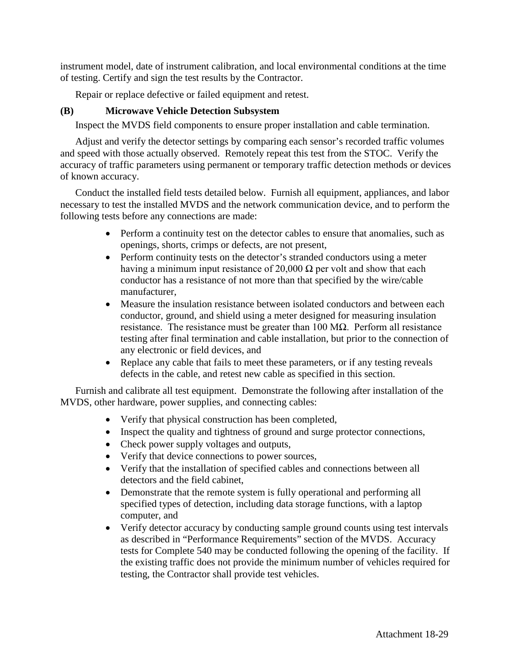instrument model, date of instrument calibration, and local environmental conditions at the time of testing. Certify and sign the test results by the Contractor.

Repair or replace defective or failed equipment and retest.

## **(B) Microwave Vehicle Detection Subsystem**

Inspect the MVDS field components to ensure proper installation and cable termination.

Adjust and verify the detector settings by comparing each sensor's recorded traffic volumes and speed with those actually observed. Remotely repeat this test from the STOC. Verify the accuracy of traffic parameters using permanent or temporary traffic detection methods or devices of known accuracy.

Conduct the installed field tests detailed below. Furnish all equipment, appliances, and labor necessary to test the installed MVDS and the network communication device, and to perform the following tests before any connections are made:

- Perform a continuity test on the detector cables to ensure that anomalies, such as openings, shorts, crimps or defects, are not present,
- Perform continuity tests on the detector's stranded conductors using a meter having a minimum input resistance of 20,000  $\Omega$  per volt and show that each conductor has a resistance of not more than that specified by the wire/cable manufacturer,
- Measure the insulation resistance between isolated conductors and between each conductor, ground, and shield using a meter designed for measuring insulation resistance. The resistance must be greater than 100 MΩ. Perform all resistance testing after final termination and cable installation, but prior to the connection of any electronic or field devices, and
- Replace any cable that fails to meet these parameters, or if any testing reveals defects in the cable, and retest new cable as specified in this section.

Furnish and calibrate all test equipment. Demonstrate the following after installation of the MVDS, other hardware, power supplies, and connecting cables:

- Verify that physical construction has been completed,
- Inspect the quality and tightness of ground and surge protector connections,
- Check power supply voltages and outputs,
- Verify that device connections to power sources,
- Verify that the installation of specified cables and connections between all detectors and the field cabinet,
- Demonstrate that the remote system is fully operational and performing all specified types of detection, including data storage functions, with a laptop computer, and
- Verify detector accuracy by conducting sample ground counts using test intervals as described in "Performance Requirements" section of the MVDS. Accuracy tests for Complete 540 may be conducted following the opening of the facility. If the existing traffic does not provide the minimum number of vehicles required for testing, the Contractor shall provide test vehicles.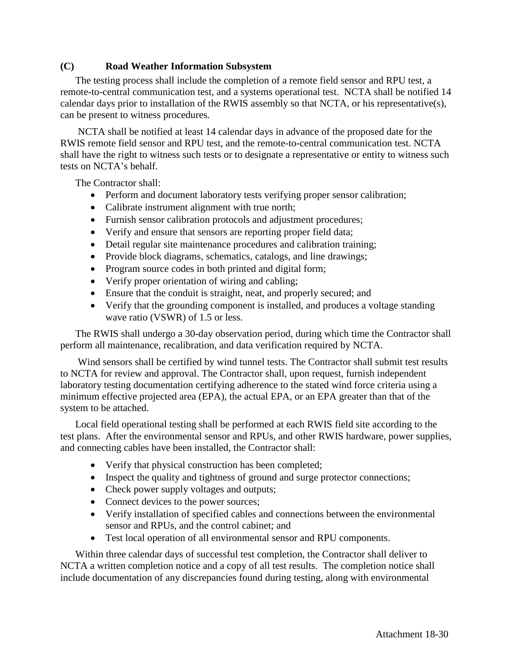## **(C) Road Weather Information Subsystem**

The testing process shall include the completion of a remote field sensor and RPU test, a remote-to-central communication test, and a systems operational test. NCTA shall be notified 14 calendar days prior to installation of the RWIS assembly so that NCTA, or his representative(s), can be present to witness procedures.

NCTA shall be notified at least 14 calendar days in advance of the proposed date for the RWIS remote field sensor and RPU test, and the remote-to-central communication test. NCTA shall have the right to witness such tests or to designate a representative or entity to witness such tests on NCTA's behalf.

The Contractor shall:

- Perform and document laboratory tests verifying proper sensor calibration;
- Calibrate instrument alignment with true north;
- Furnish sensor calibration protocols and adjustment procedures;
- Verify and ensure that sensors are reporting proper field data;
- Detail regular site maintenance procedures and calibration training;
- Provide block diagrams, schematics, catalogs, and line drawings;
- Program source codes in both printed and digital form;
- Verify proper orientation of wiring and cabling;
- Ensure that the conduit is straight, neat, and properly secured; and
- Verify that the grounding component is installed, and produces a voltage standing wave ratio (VSWR) of 1.5 or less.

The RWIS shall undergo a 30-day observation period, during which time the Contractor shall perform all maintenance, recalibration, and data verification required by NCTA.

Wind sensors shall be certified by wind tunnel tests. The Contractor shall submit test results to NCTA for review and approval. The Contractor shall, upon request, furnish independent laboratory testing documentation certifying adherence to the stated wind force criteria using a minimum effective projected area (EPA), the actual EPA, or an EPA greater than that of the system to be attached.

Local field operational testing shall be performed at each RWIS field site according to the test plans. After the environmental sensor and RPUs, and other RWIS hardware, power supplies, and connecting cables have been installed, the Contractor shall:

- Verify that physical construction has been completed;
- Inspect the quality and tightness of ground and surge protector connections;
- Check power supply voltages and outputs;
- Connect devices to the power sources;
- Verify installation of specified cables and connections between the environmental sensor and RPUs, and the control cabinet; and
- Test local operation of all environmental sensor and RPU components.

Within three calendar days of successful test completion, the Contractor shall deliver to NCTA a written completion notice and a copy of all test results. The completion notice shall include documentation of any discrepancies found during testing, along with environmental